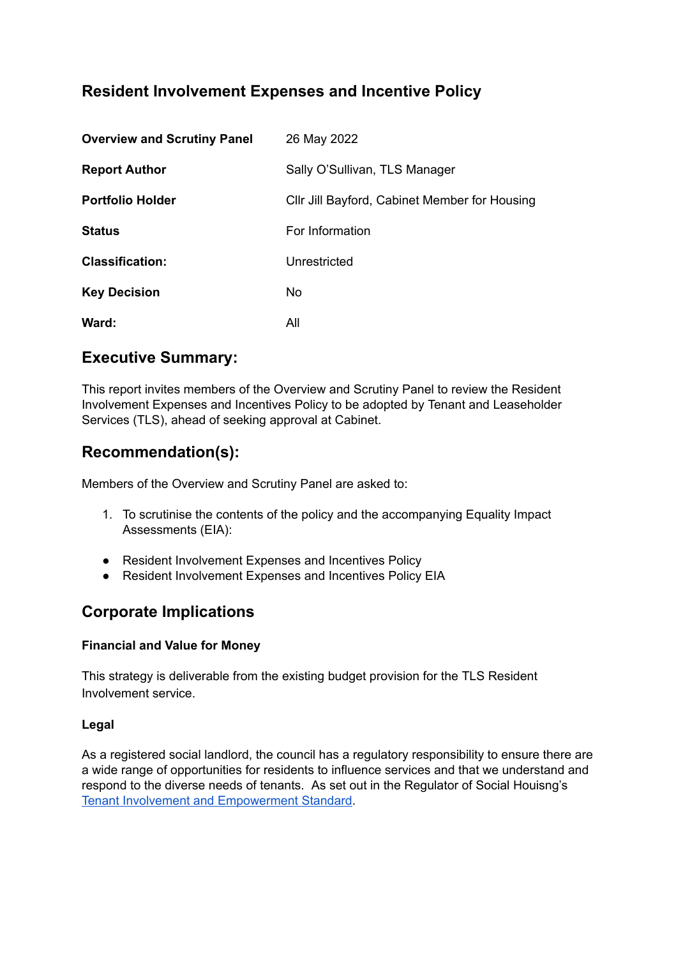# **Resident Involvement Expenses and Incentive Policy**

| <b>Overview and Scrutiny Panel</b> | 26 May 2022                                   |
|------------------------------------|-----------------------------------------------|
| <b>Report Author</b>               | Sally O'Sullivan, TLS Manager                 |
| <b>Portfolio Holder</b>            | CIIr Jill Bayford, Cabinet Member for Housing |
| <b>Status</b>                      | For Information                               |
| <b>Classification:</b>             | Unrestricted                                  |
| <b>Key Decision</b>                | No.                                           |
| Ward:                              | All                                           |

## **Executive Summary:**

This report invites members of the Overview and Scrutiny Panel to review the Resident Involvement Expenses and Incentives Policy to be adopted by Tenant and Leaseholder Services (TLS), ahead of seeking approval at Cabinet.

# **Recommendation(s):**

Members of the Overview and Scrutiny Panel are asked to:

- 1. To scrutinise the contents of the policy and the accompanying Equality Impact Assessments (EIA):
- **●** Resident Involvement Expenses and Incentives Policy
- Resident Involvement Expenses and Incentives Policy EIA

# **Corporate Implications**

### **Financial and Value for Money**

This strategy is deliverable from the existing budget provision for the TLS Resident Involvement service.

### **Legal**

As a registered social landlord, the council has a regulatory responsibility to ensure there are a wide range of opportunities for residents to influence services and that we understand and respond to the diverse needs of tenants. As set out in the Regulator of Social Houisng's Tenant Involvement and [Empowerment](https://assets.publishing.service.gov.uk/government/uploads/system/uploads/attachment_data/file/914637/Tenant_Involvement_and_Empowerment_Standard.pdf) Standard.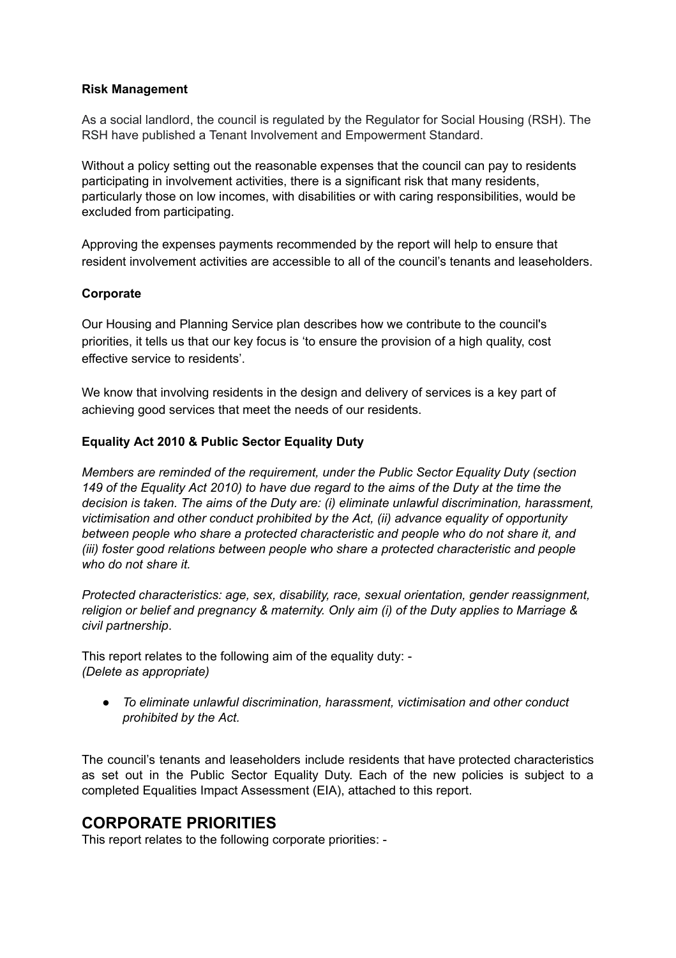#### **Risk Management**

As a social landlord, the council is regulated by the Regulator for Social Housing (RSH). The RSH have published a Tenant Involvement and Empowerment Standard.

Without a policy setting out the reasonable expenses that the council can pay to residents participating in involvement activities, there is a significant risk that many residents, particularly those on low incomes, with disabilities or with caring responsibilities, would be excluded from participating.

Approving the expenses payments recommended by the report will help to ensure that resident involvement activities are accessible to all of the council's tenants and leaseholders.

### **Corporate**

Our Housing and Planning Service plan describes how we contribute to the council's priorities, it tells us that our key focus is 'to ensure the provision of a high quality, cost effective service to residents'.

We know that involving residents in the design and delivery of services is a key part of achieving good services that meet the needs of our residents.

### **Equality Act 2010 & Public Sector Equality Duty**

*Members are reminded of the requirement, under the Public Sector Equality Duty (section* 149 of the Equality Act 2010) to have due regard to the aims of the Duty at the time the *decision is taken. The aims of the Duty are: (i) eliminate unlawful discrimination, harassment, victimisation and other conduct prohibited by the Act, (ii) advance equality of opportunity between people who share a protected characteristic and people who do not share it, and (iii) foster good relations between people who share a protected characteristic and people who do not share it.*

*Protected characteristics: age, sex, disability, race, sexual orientation, gender reassignment, religion or belief and pregnancy & maternity. Only aim (i) of the Duty applies to Marriage & civil partnership*.

This report relates to the following aim of the equality duty: - *(Delete as appropriate)*

*● To eliminate unlawful discrimination, harassment, victimisation and other conduct prohibited by the Act.*

The council's tenants and leaseholders include residents that have protected characteristics as set out in the Public Sector Equality Duty. Each of the new policies is subject to a completed Equalities Impact Assessment (EIA), attached to this report.

### **CORPORATE PRIORITIES**

This report relates to the following corporate priorities: -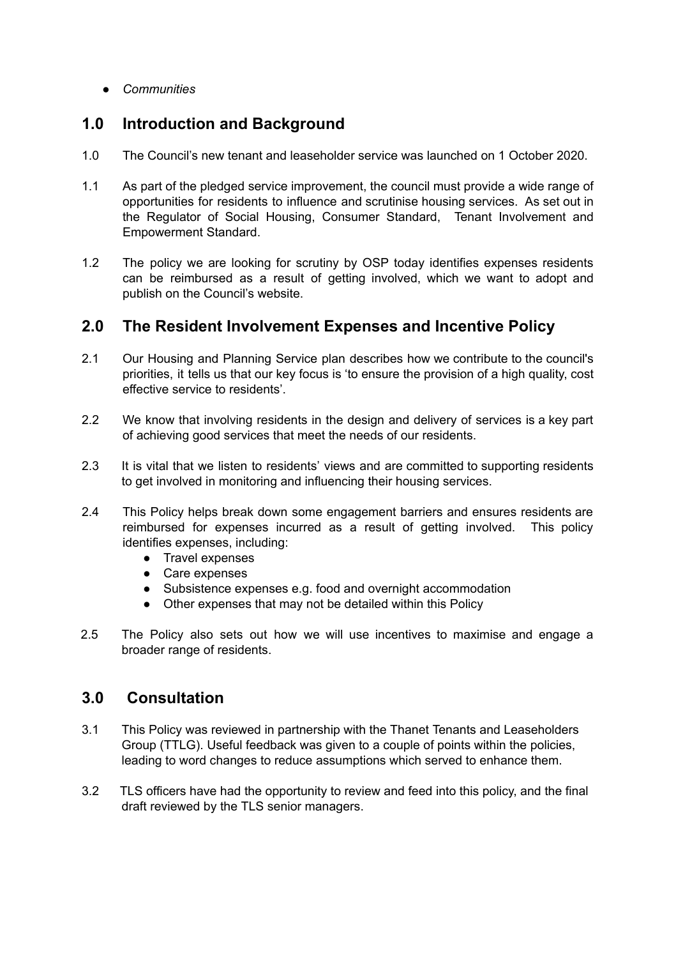*● Communities*

## **1.0 Introduction and Background**

- 1.0 The Council's new tenant and leaseholder service was launched on 1 October 2020.
- 1.1 As part of the pledged service improvement, the council must provide a wide range of opportunities for residents to influence and scrutinise housing services. As set out in the Regulator of Social Housing, Consumer Standard, Tenant Involvement and Empowerment Standard.
- 1.2 The policy we are looking for scrutiny by OSP today identifies expenses residents can be reimbursed as a result of getting involved, which we want to adopt and publish on the Council's website.

## **2.0 The Resident Involvement Expenses and Incentive Policy**

- 2.1 Our Housing and Planning Service plan describes how we contribute to the council's priorities, it tells us that our key focus is 'to ensure the provision of a high quality, cost effective service to residents'.
- 2.2 We know that involving residents in the design and delivery of services is a key part of achieving good services that meet the needs of our residents.
- 2.3 It is vital that we listen to residents' views and are committed to supporting residents to get involved in monitoring and influencing their housing services.
- 2.4 This Policy helps break down some engagement barriers and ensures residents are reimbursed for expenses incurred as a result of getting involved. This policy identifies expenses, including:
	- Travel expenses
	- Care expenses
	- Subsistence expenses e.g. food and overnight accommodation
	- Other expenses that may not be detailed within this Policy
- 2.5 The Policy also sets out how we will use incentives to maximise and engage a broader range of residents.

# **3.0 Consultation**

- 3.1 This Policy was reviewed in partnership with the Thanet Tenants and Leaseholders Group (TTLG). Useful feedback was given to a couple of points within the policies, leading to word changes to reduce assumptions which served to enhance them.
- 3.2 TLS officers have had the opportunity to review and feed into this policy, and the final draft reviewed by the TLS senior managers.